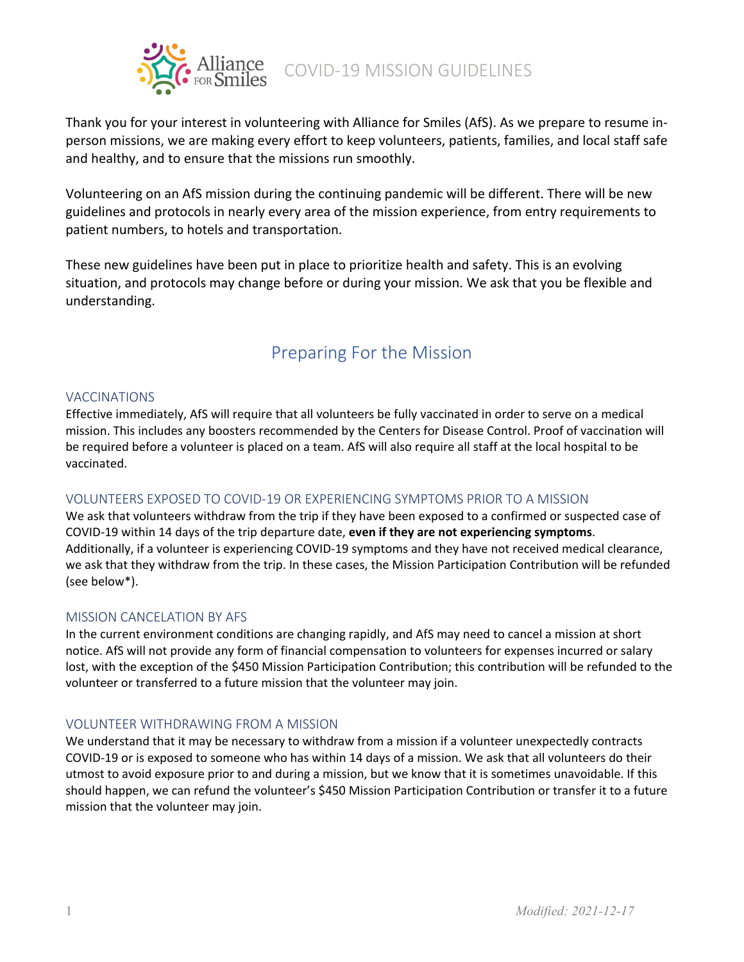

Thank you for your interest in volunteering with Alliance for Smiles (AfS). As we prepare to resume inperson missions, we are making every effort to keep volunteers, patients, families, and local staff safe and healthy, and to ensure that the missions run smoothly.

Volunteering on an AfS mission during the continuing pandemic will be different. There will be new guidelines and protocols in nearly every area of the mission experience, from entry requirements to patient numbers, to hotels and transportation.

These new guidelines have been put in place to prioritize health and safety. This is an evolving situation, and protocols may change before or during your mission. We ask that you be flexible and understanding.

# Preparing For the Mission

## VACCINATIONS

Effective immediately, AfS will require that all volunteers be fully vaccinated in order to serve on a medical mission. This includes any boosters recommended by the Centers for Disease Control. Proof of vaccination will be required before a volunteer is placed on a team. AfS will also require all staff at the local hospital to be vaccinated.

## VOLUNTEERS EXPOSED TO COVID-19 OR EXPERIENCING SYMPTOMS PRIOR TO A MISSION

We ask that volunteers withdraw from the trip if they have been exposed to a confirmed or suspected case of COVID-19 within 14 days of the trip departure date, **even if they are not experiencing symptoms**. Additionally, if a volunteer is experiencing COVID-19 symptoms and they have not received medical clearance, we ask that they withdraw from the trip. In these cases, the Mission Participation Contribution will be refunded (see below\*).

## MISSION CANCELATION BY AFS

In the current environment conditions are changing rapidly, and AfS may need to cancel a mission at short notice. AfS will not provide any form of financial compensation to volunteers for expenses incurred or salary lost, with the exception of the \$450 Mission Participation Contribution; this contribution will be refunded to the volunteer or transferred to a future mission that the volunteer may join.

## VOLUNTEER WITHDRAWING FROM A MISSION

We understand that it may be necessary to withdraw from a mission if a volunteer unexpectedly contracts COVID-19 or is exposed to someone who has within 14 days of a mission. We ask that all volunteers do their utmost to avoid exposure prior to and during a mission, but we know that it is sometimes unavoidable. If this should happen, we can refund the volunteer's \$450 Mission Participation Contribution or transfer it to a future mission that the volunteer may join.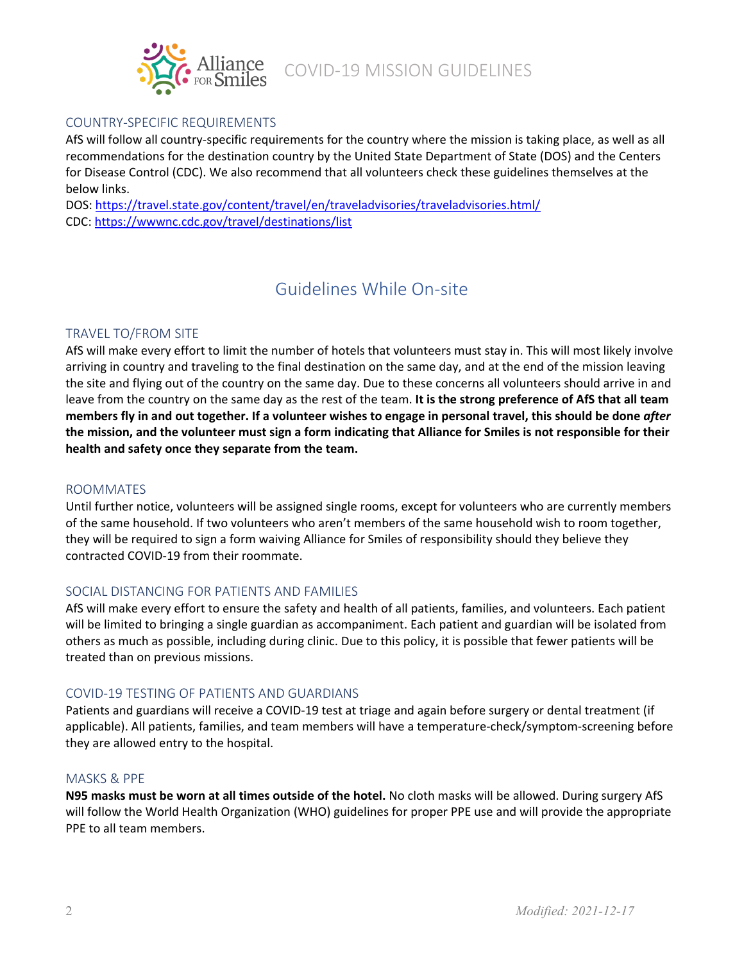

## COUNTRY-SPECIFIC REQUIREMENTS

AfS will follow all country-specific requirements for the country where the mission is taking place, as well as all recommendations for the destination country by the United State Department of State (DOS) and the Centers for Disease Control (CDC). We also recommend that all volunteers check these guidelines themselves at the below links.

DOS[: https://travel.state.gov/content/travel/en/traveladvisories/traveladvisories.html/](https://travel.state.gov/content/travel/en/traveladvisories/traveladvisories.html/) CDC:<https://wwwnc.cdc.gov/travel/destinations/list>

# Guidelines While On-site

## TRAVEL TO/FROM SITE

AfS will make every effort to limit the number of hotels that volunteers must stay in. This will most likely involve arriving in country and traveling to the final destination on the same day, and at the end of the mission leaving the site and flying out of the country on the same day. Due to these concerns all volunteers should arrive in and leave from the country on the same day as the rest of the team. **It is the strong preference of AfS that all team members fly in and out together. If a volunteer wishes to engage in personal travel, this should be done** *after* **the mission, and the volunteer must sign a form indicating that Alliance for Smiles is not responsible for their health and safety once they separate from the team.**

#### ROOMMATES

Until further notice, volunteers will be assigned single rooms, except for volunteers who are currently members of the same household. If two volunteers who aren't members of the same household wish to room together, they will be required to sign a form waiving Alliance for Smiles of responsibility should they believe they contracted COVID-19 from their roommate.

### SOCIAL DISTANCING FOR PATIENTS AND FAMILIES

AfS will make every effort to ensure the safety and health of all patients, families, and volunteers. Each patient will be limited to bringing a single guardian as accompaniment. Each patient and guardian will be isolated from others as much as possible, including during clinic. Due to this policy, it is possible that fewer patients will be treated than on previous missions.

### COVID-19 TESTING OF PATIENTS AND GUARDIANS

Patients and guardians will receive a COVID-19 test at triage and again before surgery or dental treatment (if applicable). All patients, families, and team members will have a temperature-check/symptom-screening before they are allowed entry to the hospital.

#### MASKS & PPE

**N95 masks must be worn at all times outside of the hotel.** No cloth masks will be allowed. During surgery AfS will follow the World Health Organization (WHO) guidelines for proper PPE use and will provide the appropriate PPE to all team members.